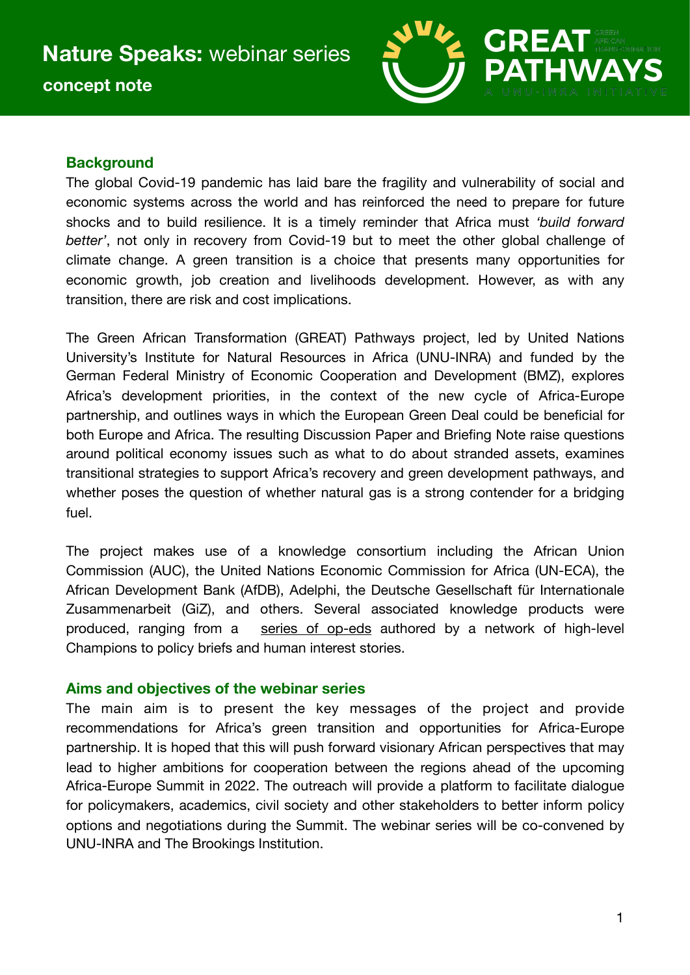

# **Background**

The global Covid-19 pandemic has laid bare the fragility and vulnerability of social and economic systems across the world and has reinforced the need to prepare for future shocks and to build resilience. It is a timely reminder that Africa must *'build forward better'*, not only in recovery from Covid-19 but to meet the other global challenge of climate change. A green transition is a choice that presents many opportunities for economic growth, job creation and livelihoods development. However, as with any transition, there are risk and cost implications.

The Green African Transformation (GREAT) Pathways project, led by United Nations University's Institute for Natural Resources in Africa (UNU-INRA) and funded by the German Federal Ministry of Economic Cooperation and Development (BMZ), explores Africa's development priorities, in the context of the new cycle of Africa-Europe partnership, and outlines ways in which the European Green Deal could be beneficial for both Europe and Africa. The resulting Discussion Paper and Briefing Note raise questions around political economy issues such as what to do about stranded assets, examines transitional strategies to support Africa's recovery and green development pathways, and whether poses the question of whether natural gas is a strong contender for a bridging fuel.

The project makes use of a knowledge consortium including the African Union Commission (AUC), the United Nations Economic Commission for Africa (UN-ECA), the African Development Bank (AfDB), Adelphi, the Deutsche Gesellschaft für Internationale Zusammenarbeit (GiZ), and others. Several associated knowledge products were produced, ranging from a [series of op-eds](https://inra.unu.edu/publications/articles/green-african-transformation-great-pathways.html) authored by a network of high-level Champions to policy briefs and human interest stories.

## **Aims and objectives of the webinar series**

The main aim is to present the key messages of the project and provide recommendations for Africa's green transition and opportunities for Africa-Europe partnership. It is hoped that this will push forward visionary African perspectives that may lead to higher ambitions for cooperation between the regions ahead of the upcoming Africa-Europe Summit in 2022. The outreach will provide a platform to facilitate dialogue for policymakers, academics, civil society and other stakeholders to better inform policy options and negotiations during the Summit. The webinar series will be co-convened by UNU-INRA and The Brookings Institution.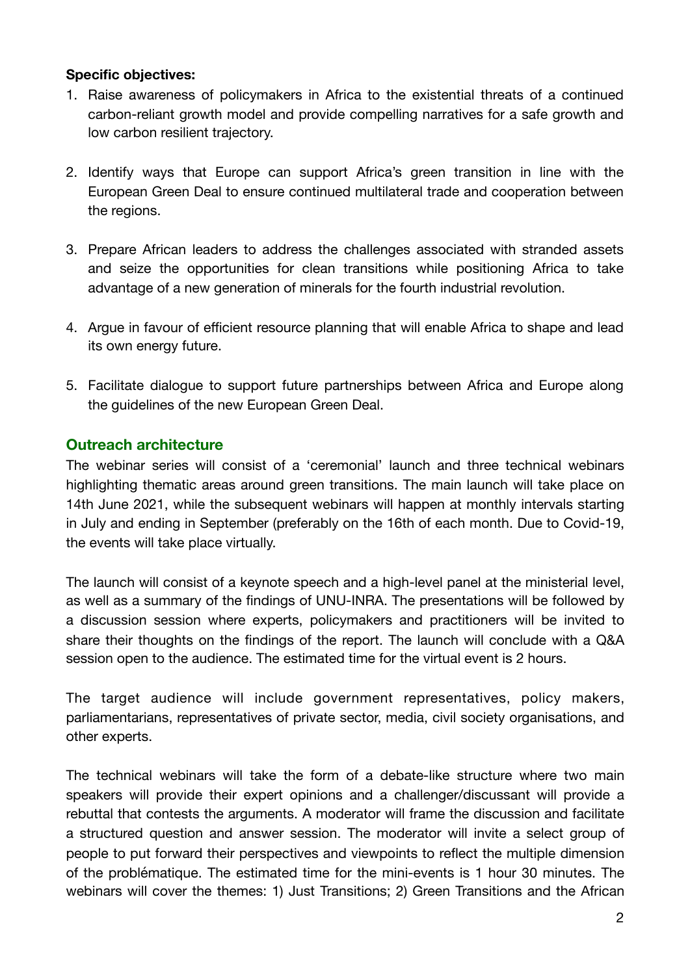#### **Specific objectives:**

- 1. Raise awareness of policymakers in Africa to the existential threats of a continued carbon-reliant growth model and provide compelling narratives for a safe growth and low carbon resilient trajectory.
- 2. Identify ways that Europe can support Africa's green transition in line with the European Green Deal to ensure continued multilateral trade and cooperation between the regions.
- 3. Prepare African leaders to address the challenges associated with stranded assets and seize the opportunities for clean transitions while positioning Africa to take advantage of a new generation of minerals for the fourth industrial revolution.
- 4. Argue in favour of efficient resource planning that will enable Africa to shape and lead its own energy future.
- 5. Facilitate dialogue to support future partnerships between Africa and Europe along the guidelines of the new European Green Deal.

## **Outreach architecture**

The webinar series will consist of a 'ceremonial' launch and three technical webinars highlighting thematic areas around green transitions. The main launch will take place on 14th June 2021, while the subsequent webinars will happen at monthly intervals starting in July and ending in September (preferably on the 16th of each month. Due to Covid-19, the events will take place virtually.

The launch will consist of a keynote speech and a high-level panel at the ministerial level, as well as a summary of the findings of UNU-INRA. The presentations will be followed by a discussion session where experts, policymakers and practitioners will be invited to share their thoughts on the findings of the report. The launch will conclude with a Q&A session open to the audience. The estimated time for the virtual event is 2 hours.

The target audience will include government representatives, policy makers, parliamentarians, representatives of private sector, media, civil society organisations, and other experts.

The technical webinars will take the form of a debate-like structure where two main speakers will provide their expert opinions and a challenger/discussant will provide a rebuttal that contests the arguments. A moderator will frame the discussion and facilitate a structured question and answer session. The moderator will invite a select group of people to put forward their perspectives and viewpoints to reflect the multiple dimension of the problématique. The estimated time for the mini-events is 1 hour 30 minutes. The webinars will cover the themes: 1) Just Transitions; 2) Green Transitions and the African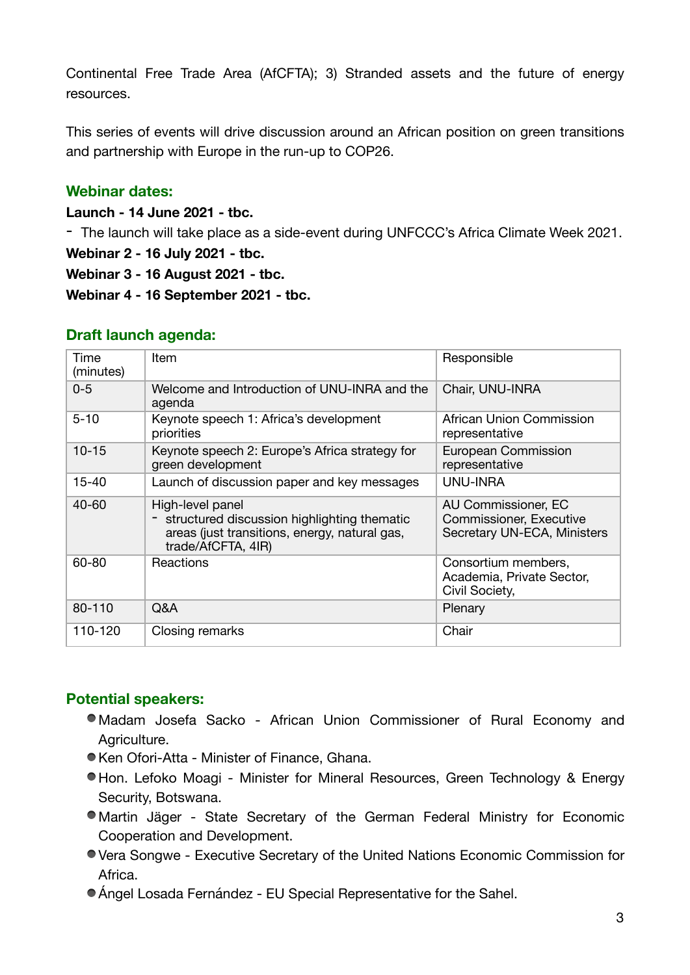Continental Free Trade Area (AfCFTA); 3) Stranded assets and the future of energy resources.

This series of events will drive discussion around an African position on green transitions and partnership with Europe in the run-up to COP26.

## **Webinar dates:**

**Launch - 14 June 2021 - tbc.** 

- The launch will take place as a side-event during UNFCCC's Africa Climate Week 2021.

**Webinar 2 - 16 July 2021 - tbc.** 

**Webinar 3 - 16 August 2021 - tbc.** 

**Webinar 4 - 16 September 2021 - tbc.** 

#### **Draft launch agenda:**

| Time<br>(minutes) | Item                                                                                                                                     | Responsible                                                                          |
|-------------------|------------------------------------------------------------------------------------------------------------------------------------------|--------------------------------------------------------------------------------------|
| $0 - 5$           | Welcome and Introduction of UNU-INRA and the<br>agenda                                                                                   | Chair, UNU-INRA                                                                      |
| $5 - 10$          | Keynote speech 1: Africa's development<br>priorities                                                                                     | African Union Commission<br>representative                                           |
| $10 - 15$         | Keynote speech 2: Europe's Africa strategy for<br>green development                                                                      | European Commission<br>representative                                                |
| $15 - 40$         | Launch of discussion paper and key messages                                                                                              | UNU-INRA                                                                             |
| $40 - 60$         | High-level panel<br>- structured discussion highlighting thematic<br>areas (just transitions, energy, natural gas,<br>trade/AfCFTA, 4IR) | AU Commissioner, EC<br><b>Commissioner, Executive</b><br>Secretary UN-ECA, Ministers |
| 60-80             | Reactions                                                                                                                                | Consortium members,<br>Academia, Private Sector,<br>Civil Society,                   |
| 80-110            | Q&A                                                                                                                                      | Plenary                                                                              |
| 110-120           | Closing remarks                                                                                                                          | Chair                                                                                |

# **Potential speakers:**

- Madam Josefa Sacko African Union Commissioner of Rural Economy and Agriculture.
- Ken Ofori-Atta Minister of Finance, Ghana.
- Hon. Lefoko Moagi Minister for Mineral Resources, Green Technology & Energy Security, Botswana.
- Martin Jäger State Secretary of the German Federal Ministry for Economic Cooperation and Development.
- Vera Songwe Executive Secretary of the United Nations Economic Commission for Africa.
- Ángel Losada Fernández EU Special Representative for the Sahel.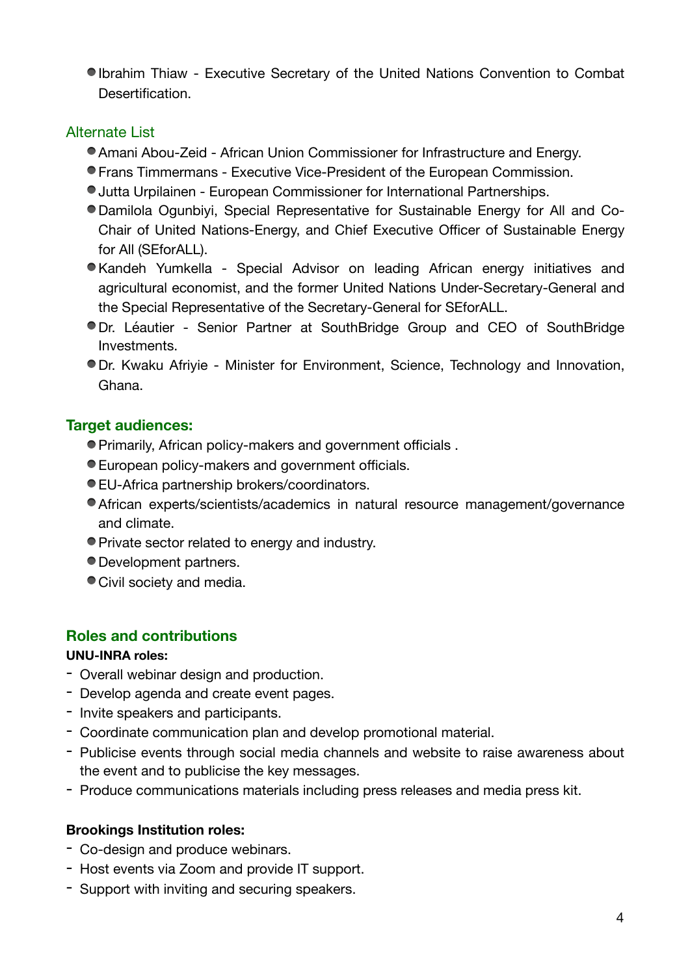Ibrahim Thiaw - Executive Secretary of the United Nations Convention to Combat Desertification.

## Alternate List

- Amani Abou-Zeid African Union Commissioner for Infrastructure and Energy.
- Frans Timmermans Executive Vice-President of the European Commission.
- Jutta Urpilainen European Commissioner for International Partnerships.
- Damilola Ogunbiyi, Special Representative for Sustainable Energy for All and Co-Chair of United Nations-Energy, and Chief Executive Officer of Sustainable Energy for All (SEforALL).
- Kandeh Yumkella Special Advisor on leading African energy initiatives and agricultural economist, and the former United Nations Under-Secretary-General and the Special Representative of the Secretary-General for SEforALL.
- Dr. Léautier Senior Partner at SouthBridge Group and CEO of SouthBridge Investments.
- Dr. Kwaku Afriyie Minister for Environment, Science, Technology and Innovation, Ghana.

## **Target audiences:**

- Primarily, African policy-makers and government officials .
- European policy-makers and government officials.
- EU-Africa partnership brokers/coordinators.
- African experts/scientists/academics in natural resource management/governance and climate.
- Private sector related to energy and industry.
- Development partners.
- Civil society and media.

# **Roles and contributions**

## **UNU-INRA roles:**

- Overall webinar design and production.
- Develop agenda and create event pages.
- Invite speakers and participants.
- Coordinate communication plan and develop promotional material.
- Publicise events through social media channels and website to raise awareness about the event and to publicise the key messages.
- Produce communications materials including press releases and media press kit.

# **Brookings Institution roles:**

- Co-design and produce webinars.
- Host events via Zoom and provide IT support.
- Support with inviting and securing speakers.